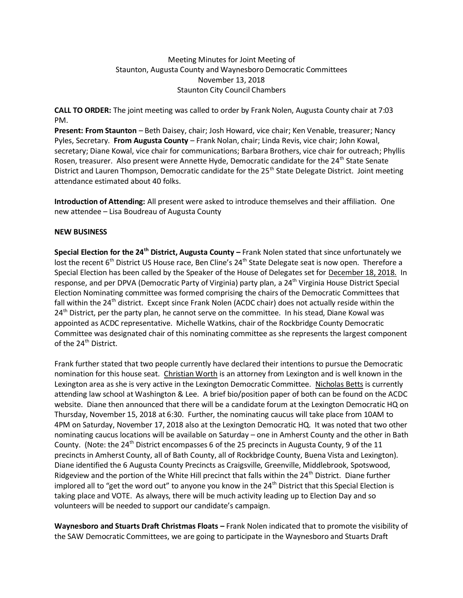# Meeting Minutes for Joint Meeting of Staunton, Augusta County and Waynesboro Democratic Committees November 13, 2018 Staunton City Council Chambers

**CALL TO ORDER:** The joint meeting was called to order by Frank Nolen, Augusta County chair at 7:03 PM.

**Present: From Staunton** – Beth Daisey, chair; Josh Howard, vice chair; Ken Venable, treasurer; Nancy Pyles, Secretary. **From Augusta County** – Frank Nolan, chair; Linda Revis, vice chair; John Kowal, secretary; Diane Kowal, vice chair for communications; Barbara Brothers, vice chair for outreach; Phyllis Rosen, treasurer. Also present were Annette Hyde, Democratic candidate for the 24<sup>th</sup> State Senate District and Lauren Thompson, Democratic candidate for the 25<sup>th</sup> State Delegate District. Joint meeting attendance estimated about 40 folks.

**Introduction of Attending:** All present were asked to introduce themselves and their affiliation. One new attendee – Lisa Boudreau of Augusta County

### **NEW BUSINESS**

**Special Election for the 24th District, Augusta County –** Frank Nolen stated that since unfortunately we lost the recent 6<sup>th</sup> District US House race, Ben Cline's 24<sup>th</sup> State Delegate seat is now open. Therefore a Special Election has been called by the Speaker of the House of Delegates set for December 18, 2018. In response, and per DPVA (Democratic Party of Virginia) party plan, a 24<sup>th</sup> Virginia House District Special Election Nominating committee was formed comprising the chairs of the Democratic Committees that fall within the 24<sup>th</sup> district. Except since Frank Nolen (ACDC chair) does not actually reside within the 24<sup>th</sup> District, per the party plan, he cannot serve on the committee. In his stead, Diane Kowal was appointed as ACDC representative. Michelle Watkins, chair of the Rockbridge County Democratic Committee was designated chair of this nominating committee as she represents the largest component of the 24<sup>th</sup> District.

Frank further stated that two people currently have declared their intentions to pursue the Democratic nomination for this house seat. Christian Worth is an attorney from Lexington and is well known in the Lexington area as she is very active in the Lexington Democratic Committee. Nicholas Betts is currently attending law school at Washington & Lee. A brief bio/position paper of both can be found on the ACDC website. Diane then announced that there will be a candidate forum at the Lexington Democratic HQ on Thursday, November 15, 2018 at 6:30. Further, the nominating caucus will take place from 10AM to 4PM on Saturday, November 17, 2018 also at the Lexington Democratic HQ. It was noted that two other nominating caucus locations will be available on Saturday – one in Amherst County and the other in Bath County. (Note: the 24<sup>th</sup> District encompasses 6 of the 25 precincts in Augusta County, 9 of the 11 precincts in Amherst County, all of Bath County, all of Rockbridge County, Buena Vista and Lexington). Diane identified the 6 Augusta County Precincts as Craigsville, Greenville, Middlebrook, Spotswood, Ridgeview and the portion of the White Hill precinct that falls within the  $24<sup>th</sup>$  District. Diane further implored all to "get the word out" to anyone you know in the 24<sup>th</sup> District that this Special Election is taking place and VOTE. As always, there will be much activity leading up to Election Day and so volunteers will be needed to support our candidate's campaign.

**Waynesboro and Stuarts Draft Christmas Floats –** Frank Nolen indicated that to promote the visibility of the SAW Democratic Committees, we are going to participate in the Waynesboro and Stuarts Draft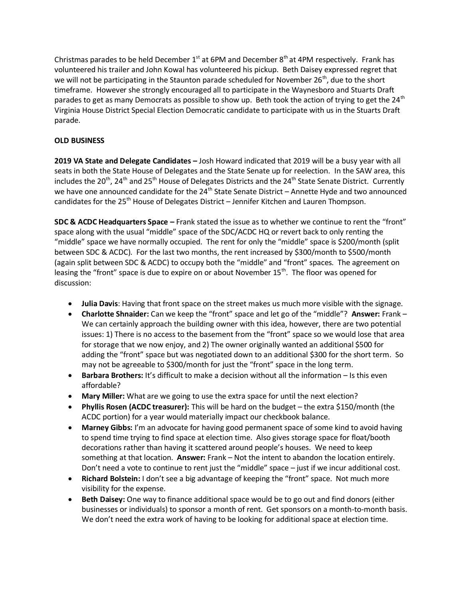Christmas parades to be held December  $1<sup>st</sup>$  at 6PM and December  $8<sup>th</sup>$  at 4PM respectively. Frank has volunteered his trailer and John Kowal has volunteered his pickup. Beth Daisey expressed regret that we will not be participating in the Staunton parade scheduled for November 26<sup>th</sup>, due to the short timeframe. However she strongly encouraged all to participate in the Waynesboro and Stuarts Draft parades to get as many Democrats as possible to show up. Beth took the action of trying to get the 24<sup>th</sup> Virginia House District Special Election Democratic candidate to participate with us in the Stuarts Draft parade.

# **OLD BUSINESS**

**2019 VA State and Delegate Candidates –** Josh Howard indicated that 2019 will be a busy year with all seats in both the State House of Delegates and the State Senate up for reelection. In the SAW area, this includes the 20<sup>th</sup>, 24<sup>th</sup> and 25<sup>th</sup> House of Delegates Districts and the 24<sup>th</sup> State Senate District. Currently we have one announced candidate for the  $24<sup>th</sup>$  State Senate District – Annette Hyde and two announced candidates for the 25<sup>th</sup> House of Delegates District – Jennifer Kitchen and Lauren Thompson.

**SDC & ACDC Headquarters Space –** Frank stated the issue as to whether we continue to rent the "front" space along with the usual "middle" space of the SDC/ACDC HQ or revert back to only renting the "middle" space we have normally occupied. The rent for only the "middle" space is \$200/month (split between SDC & ACDC). For the last two months, the rent increased by \$300/month to \$500/month (again split between SDC & ACDC) to occupy both the "middle" and "front" spaces. The agreement on leasing the "front" space is due to expire on or about November  $15<sup>th</sup>$ . The floor was opened for discussion:

- **Julia Davis**: Having that front space on the street makes us much more visible with the signage.
- **Charlotte Shnaider:** Can we keep the "front" space and let go of the "middle"? **Answer:** Frank We can certainly approach the building owner with this idea, however, there are two potential issues: 1) There is no access to the basement from the "front" space so we would lose that area for storage that we now enjoy, and 2) The owner originally wanted an additional \$500 for adding the "front" space but was negotiated down to an additional \$300 for the short term. So may not be agreeable to \$300/month for just the "front" space in the long term.
- **Barbara Brothers:** It's difficult to make a decision without all the information Is this even affordable?
- **Mary Miller:** What are we going to use the extra space for until the next election?
- **Phyllis Rosen (ACDC treasurer):** This will be hard on the budget the extra \$150/month (the ACDC portion) for a year would materially impact our checkbook balance.
- **Marney Gibbs:** I'm an advocate for having good permanent space of some kind to avoid having to spend time trying to find space at election time. Also gives storage space for float/booth decorations rather than having it scattered around people's houses. We need to keep something at that location. **Answer:** Frank – Not the intent to abandon the location entirely. Don't need a vote to continue to rent just the "middle" space – just if we incur additional cost.
- **Richard Bolstein:** I don't see a big advantage of keeping the "front" space. Not much more visibility for the expense.
- **Beth Daisey:** One way to finance additional space would be to go out and find donors (either businesses or individuals) to sponsor a month of rent. Get sponsors on a month-to-month basis. We don't need the extra work of having to be looking for additional space at election time.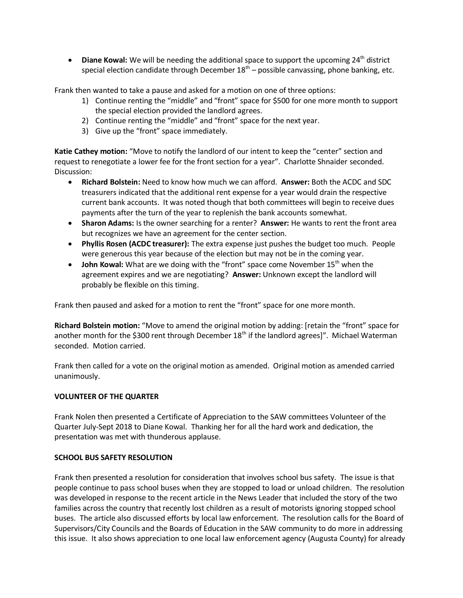• Diane Kowal: We will be needing the additional space to support the upcoming 24<sup>th</sup> district special election candidate through December 18<sup>th</sup> – possible canvassing, phone banking, etc.

Frank then wanted to take a pause and asked for a motion on one of three options:

- 1) Continue renting the "middle" and "front" space for \$500 for one more month to support the special election provided the landlord agrees.
- 2) Continue renting the "middle" and "front" space for the next year.
- 3) Give up the "front" space immediately.

**Katie Cathey motion:** "Move to notify the landlord of our intent to keep the "center" section and request to renegotiate a lower fee for the front section for a year". Charlotte Shnaider seconded. Discussion:

- **Richard Bolstein:** Need to know how much we can afford. **Answer:** Both the ACDC and SDC treasurers indicated that the additional rent expense for a year would drain the respective current bank accounts. It was noted though that both committees will begin to receive dues payments after the turn of the year to replenish the bank accounts somewhat.
- **Sharon Adams:** Is the owner searching for a renter? **Answer:** He wants to rent the front area but recognizes we have an agreement for the center section.
- **Phyllis Rosen (ACDC treasurer):** The extra expense just pushes the budget too much. People were generous this year because of the election but may not be in the coming year.
- **John Kowal:** What are we doing with the "front" space come November 15<sup>th</sup> when the agreement expires and we are negotiating? **Answer:** Unknown except the landlord will probably be flexible on this timing.

Frank then paused and asked for a motion to rent the "front" space for one more month.

**Richard Bolstein motion:** "Move to amend the original motion by adding: [retain the "front" space for another month for the \$300 rent through December  $18<sup>th</sup>$  if the landlord agrees]". Michael Waterman seconded. Motion carried.

Frank then called for a vote on the original motion as amended. Original motion as amended carried unanimously.

### **VOLUNTEER OF THE QUARTER**

Frank Nolen then presented a Certificate of Appreciation to the SAW committees Volunteer of the Quarter July-Sept 2018 to Diane Kowal. Thanking her for all the hard work and dedication, the presentation was met with thunderous applause.

#### **SCHOOL BUS SAFETY RESOLUTION**

Frank then presented a resolution for consideration that involves school bus safety. The issue is that people continue to pass school buses when they are stopped to load or unload children. The resolution was developed in response to the recent article in the News Leader that included the story of the two families across the country that recently lost children as a result of motorists ignoring stopped school buses. The article also discussed efforts by local law enforcement. The resolution calls for the Board of Supervisors/City Councils and the Boards of Education in the SAW community to do more in addressing this issue. It also shows appreciation to one local law enforcement agency (Augusta County) for already